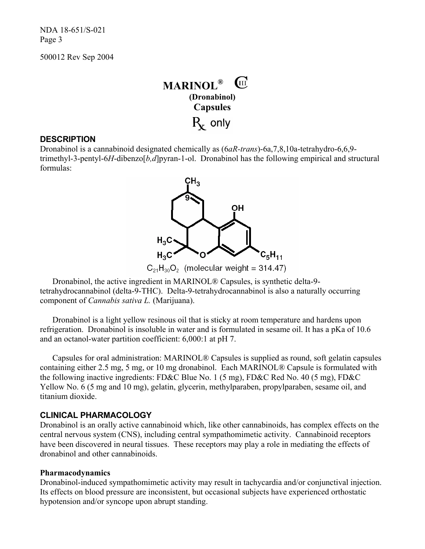500012 Rev Sep 2004

# **MARINOL®**   $\overline{\mathbf{u}}$ **(Dronabinol) Capsules**   $R_{r}$  only

#### **DESCRIPTION**

Dronabinol is a cannabinoid designated chemically as (6*aR-trans*)-6a,7,8,10a-tetrahydro-6,6,9 trimethyl-3-pentyl-6*H*-dibenzo[*b,d*]pyran-1-ol. Dronabinol has the following empirical and structural formulas:



 $C_{21}H_{30}O_2$  (molecular weight = 314.47)

Dronabinol, the active ingredient in MARINOL® Capsules, is synthetic delta-9 tetrahydrocannabinol (delta-9-THC). Delta-9-tetrahydrocannabinol is also a naturally occurring component of *Cannabis sativa L.* (Marijuana).

Dronabinol is a light yellow resinous oil that is sticky at room temperature and hardens upon refrigeration. Dronabinol is insoluble in water and is formulated in sesame oil. It has a pKa of 10.6 and an octanol-water partition coefficient: 6,000:1 at pH 7.

Capsules for oral administration: MARINOL® Capsules is supplied as round, soft gelatin capsules containing either 2.5 mg, 5 mg, or 10 mg dronabinol. Each MARINOL® Capsule is formulated with the following inactive ingredients: FD&C Blue No. 1 (5 mg), FD&C Red No. 40 (5 mg), FD&C Yellow No. 6 (5 mg and 10 mg), gelatin, glycerin, methylparaben, propylparaben, sesame oil, and titanium dioxide.

## **CLINICAL PHARMACOLOGY**

Dronabinol is an orally active cannabinoid which, like other cannabinoids, has complex effects on the central nervous system (CNS), including central sympathomimetic activity. Cannabinoid receptors have been discovered in neural tissues. These receptors may play a role in mediating the effects of dronabinol and other cannabinoids.

#### **Pharmacodynamics**

Dronabinol-induced sympathomimetic activity may result in tachycardia and/or conjunctival injection. Its effects on blood pressure are inconsistent, but occasional subjects have experienced orthostatic hypotension and/or syncope upon abrupt standing.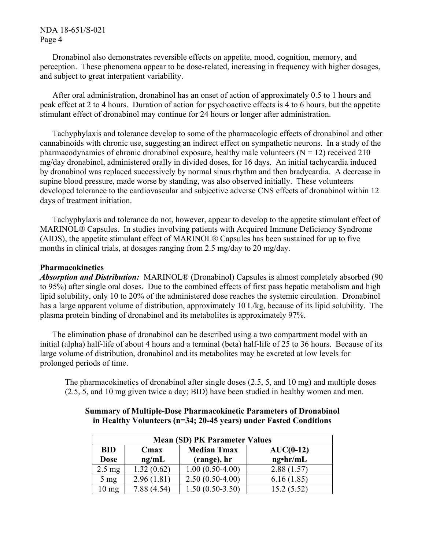Dronabinol also demonstrates reversible effects on appetite, mood, cognition, memory, and perception. These phenomena appear to be dose-related, increasing in frequency with higher dosages, and subject to great interpatient variability.

After oral administration, dronabinol has an onset of action of approximately 0.5 to 1 hours and peak effect at 2 to 4 hours. Duration of action for psychoactive effects is 4 to 6 hours, but the appetite stimulant effect of dronabinol may continue for 24 hours or longer after administration.

Tachyphylaxis and tolerance develop to some of the pharmacologic effects of dronabinol and other cannabinoids with chronic use, suggesting an indirect effect on sympathetic neurons. In a study of the pharmacodynamics of chronic dronabinol exposure, healthy male volunteers  $(N = 12)$  received 210 mg/day dronabinol, administered orally in divided doses, for 16 days. An initial tachycardia induced by dronabinol was replaced successively by normal sinus rhythm and then bradycardia. A decrease in supine blood pressure, made worse by standing, was also observed initially. These volunteers developed tolerance to the cardiovascular and subjective adverse CNS effects of dronabinol within 12 days of treatment initiation.

Tachyphylaxis and tolerance do not, however, appear to develop to the appetite stimulant effect of MARINOL® Capsules. In studies involving patients with Acquired Immune Deficiency Syndrome (AIDS), the appetite stimulant effect of MARINOL® Capsules has been sustained for up to five months in clinical trials, at dosages ranging from 2.5 mg/day to 20 mg/day.

#### **Pharmacokinetics**

*Absorption and Distribution:* MARINOL® (Dronabinol) Capsules is almost completely absorbed (90 to 95%) after single oral doses. Due to the combined effects of first pass hepatic metabolism and high lipid solubility, only 10 to 20% of the administered dose reaches the systemic circulation. Dronabinol has a large apparent volume of distribution, approximately 10 L/kg, because of its lipid solubility. The plasma protein binding of dronabinol and its metabolites is approximately 97%.

The elimination phase of dronabinol can be described using a two compartment model with an initial (alpha) half-life of about 4 hours and a terminal (beta) half-life of 25 to 36 hours. Because of its large volume of distribution, dronabinol and its metabolites may be excreted at low levels for prolonged periods of time.

The pharmacokinetics of dronabinol after single doses (2.5, 5, and 10 mg) and multiple doses (2.5, 5, and 10 mg given twice a day; BID) have been studied in healthy women and men.

| <b>Mean (SD) PK Parameter Values</b> |            |                    |                   |  |  |  |
|--------------------------------------|------------|--------------------|-------------------|--|--|--|
| <b>BID</b>                           | Cmax       | <b>Median Tmax</b> | $AUC(0-12)$       |  |  |  |
| <b>Dose</b>                          | ng/mL      | (range), hr        | $ng\text{-}hr/mL$ |  |  |  |
| $2.5 \text{ mg}$                     | 1.32(0.62) | $1.00(0.50-4.00)$  | 2.88(1.57)        |  |  |  |
| $5 \text{ mg}$                       | 2.96(1.81) | $2.50(0.50-4.00)$  | 6.16(1.85)        |  |  |  |
| $10 \text{ mg}$                      | 7.88(4.54) | $1.50(0.50-3.50)$  | 15.2(5.52)        |  |  |  |

#### **Summary of Multiple-Dose Pharmacokinetic Parameters of Dronabinol in Healthy Volunteers (n=34; 20-45 years) under Fasted Conditions**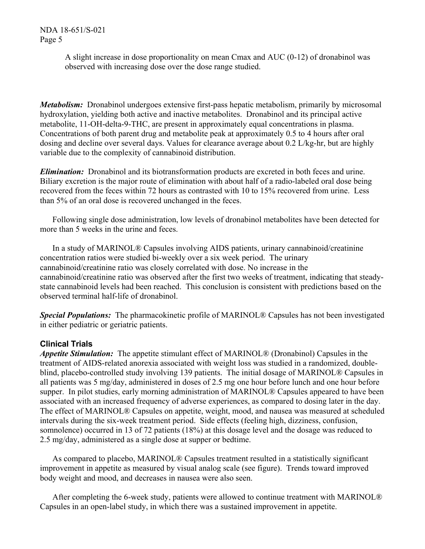> A slight increase in dose proportionality on mean Cmax and AUC (0-12) of dronabinol was observed with increasing dose over the dose range studied.

*Metabolism:* Dronabinol undergoes extensive first-pass hepatic metabolism, primarily by microsomal hydroxylation, yielding both active and inactive metabolites. Dronabinol and its principal active metabolite, 11-OH-delta-9-THC, are present in approximately equal concentrations in plasma. Concentrations of both parent drug and metabolite peak at approximately 0.5 to 4 hours after oral dosing and decline over several days. Values for clearance average about 0.2 L/kg-hr, but are highly variable due to the complexity of cannabinoid distribution.

*Elimination:* Dronabinol and its biotransformation products are excreted in both feces and urine. Biliary excretion is the major route of elimination with about half of a radio-labeled oral dose being recovered from the feces within 72 hours as contrasted with 10 to 15% recovered from urine. Less than 5% of an oral dose is recovered unchanged in the feces.

Following single dose administration, low levels of dronabinol metabolites have been detected for more than 5 weeks in the urine and feces.

In a study of MARINOL® Capsules involving AIDS patients, urinary cannabinoid/creatinine concentration ratios were studied bi-weekly over a six week period. The urinary cannabinoid/creatinine ratio was closely correlated with dose. No increase in the cannabinoid/creatinine ratio was observed after the first two weeks of treatment, indicating that steadystate cannabinoid levels had been reached. This conclusion is consistent with predictions based on the observed terminal half-life of dronabinol.

*Special Populations:* The pharmacokinetic profile of MARINOL® Capsules has not been investigated in either pediatric or geriatric patients.

## **Clinical Trials**

*Appetite Stimulation:*The appetite stimulant effect of MARINOL® (Dronabinol) Capsules in the treatment of AIDS-related anorexia associated with weight loss was studied in a randomized, doubleblind, placebo-controlled study involving 139 patients. The initial dosage of MARINOL® Capsules in all patients was 5 mg/day, administered in doses of 2.5 mg one hour before lunch and one hour before supper. In pilot studies, early morning administration of MARINOL® Capsules appeared to have been associated with an increased frequency of adverse experiences, as compared to dosing later in the day. The effect of MARINOL® Capsules on appetite, weight, mood, and nausea was measured at scheduled intervals during the six-week treatment period. Side effects (feeling high, dizziness, confusion, somnolence) occurred in 13 of 72 patients (18%) at this dosage level and the dosage was reduced to 2.5 mg/day, administered as a single dose at supper or bedtime.

As compared to placebo, MARINOL® Capsules treatment resulted in a statistically significant improvement in appetite as measured by visual analog scale (see figure). Trends toward improved body weight and mood, and decreases in nausea were also seen.

After completing the 6-week study, patients were allowed to continue treatment with MARINOL® Capsules in an open-label study, in which there was a sustained improvement in appetite.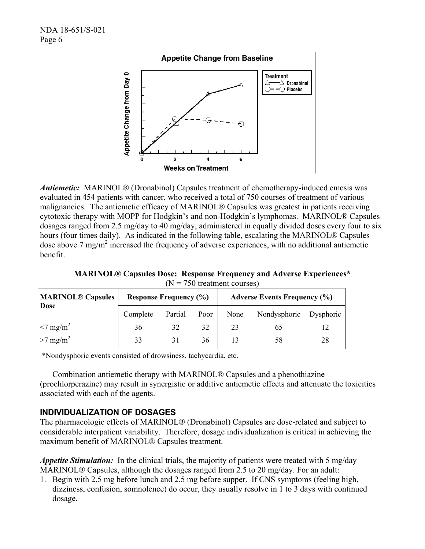

*Antiemetic:*MARINOL® (Dronabinol) Capsules treatment of chemotherapy-induced emesis was evaluated in 454 patients with cancer, who received a total of 750 courses of treatment of various malignancies. The antiemetic efficacy of MARINOL® Capsules was greatest in patients receiving cytotoxic therapy with MOPP for Hodgkin's and non-Hodgkin's lymphomas. MARINOL® Capsules dosages ranged from 2.5 mg/day to 40 mg/day, administered in equally divided doses every four to six hours (four times daily). As indicated in the following table, escalating the MARINOL® Capsules dose above 7 mg/m<sup>2</sup> increased the frequency of adverse experiences, with no additional antiemetic benefit.

**MARINOL® Capsules Dose: Response Frequency and Adverse Experiences\***   $(N = 750$  treatment courses)

| <b>MARINOL® Capsules</b>      | <b>Response Frequency (%)</b> |         |      | <b>Adverse Events Frequency (%)</b> |              |           |
|-------------------------------|-------------------------------|---------|------|-------------------------------------|--------------|-----------|
| <b>Dose</b>                   | Complete                      | Partial | Poor | None                                | Nondysphoric | Dysphoric |
| $\approx$ 7 mg/m <sup>2</sup> | 36                            | 32      | 32   | 23                                  | 65           |           |
| $>7$ mg/m <sup>2</sup>        | 33                            |         | 36   | 13                                  | 58           | 28        |

\*Nondysphoric events consisted of drowsiness, tachycardia, etc.

 Combination antiemetic therapy with MARINOL® Capsules and a phenothiazine (prochlorperazine) may result in synergistic or additive antiemetic effects and attenuate the toxicities associated with each of the agents.

## **INDIVIDUALIZATION OF DOSAGES**

The pharmacologic effects of MARINOL® (Dronabinol) Capsules are dose-related and subject to considerable interpatient variability. Therefore, dosage individualization is critical in achieving the maximum benefit of MARINOL® Capsules treatment.

*Appetite Stimulation:*In the clinical trials, the majority of patients were treated with 5 mg/day MARINOL® Capsules, although the dosages ranged from 2.5 to 20 mg/day. For an adult:

1. Begin with 2.5 mg before lunch and 2.5 mg before supper. If CNS symptoms (feeling high, dizziness, confusion, somnolence) do occur, they usually resolve in 1 to 3 days with continued dosage.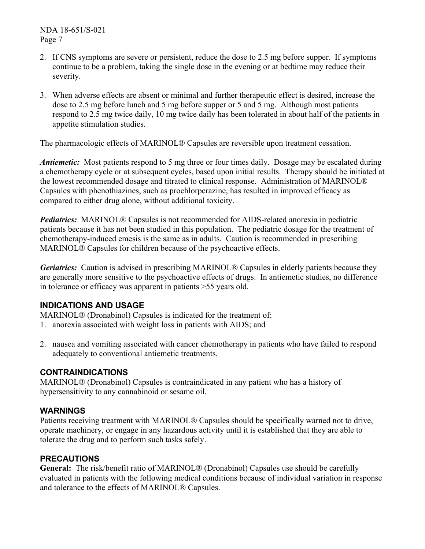- 2. If CNS symptoms are severe or persistent, reduce the dose to 2.5 mg before supper. If symptoms continue to be a problem, taking the single dose in the evening or at bedtime may reduce their severity.
- 3. When adverse effects are absent or minimal and further therapeutic effect is desired, increase the dose to 2.5 mg before lunch and 5 mg before supper or 5 and 5 mg. Although most patients respond to 2.5 mg twice daily, 10 mg twice daily has been tolerated in about half of the patients in appetite stimulation studies.

The pharmacologic effects of MARINOL® Capsules are reversible upon treatment cessation.

*Antiemetic:* Most patients respond to 5 mg three or four times daily. Dosage may be escalated during a chemotherapy cycle or at subsequent cycles, based upon initial results. Therapy should be initiated at the lowest recommended dosage and titrated to clinical response. Administration of MARINOL® Capsules with phenothiazines, such as prochlorperazine, has resulted in improved efficacy as compared to either drug alone, without additional toxicity.

*Pediatrics:*MARINOL® Capsules is not recommended for AIDS-related anorexia in pediatric patients because it has not been studied in this population. The pediatric dosage for the treatment of chemotherapy-induced emesis is the same as in adults. Caution is recommended in prescribing MARINOL® Capsules for children because of the psychoactive effects.

*Geriatrics:* Caution is advised in prescribing MARINOL® Capsules in elderly patients because they are generally more sensitive to the psychoactive effects of drugs. In antiemetic studies, no difference in tolerance or efficacy was apparent in patients >55 years old.

# **INDICATIONS AND USAGE**

MARINOL® (Dronabinol) Capsules is indicated for the treatment of:

- 1. anorexia associated with weight loss in patients with AIDS; and
- 2. nausea and vomiting associated with cancer chemotherapy in patients who have failed to respond adequately to conventional antiemetic treatments.

## **CONTRAINDICATIONS**

MARINOL® (Dronabinol) Capsules is contraindicated in any patient who has a history of hypersensitivity to any cannabinoid or sesame oil.

## **WARNINGS**

Patients receiving treatment with MARINOL® Capsules should be specifically warned not to drive, operate machinery, or engage in any hazardous activity until it is established that they are able to tolerate the drug and to perform such tasks safely.

## **PRECAUTIONS**

**General:** The risk/benefit ratio of MARINOL® (Dronabinol) Capsules use should be carefully evaluated in patients with the following medical conditions because of individual variation in response and tolerance to the effects of MARINOL® Capsules.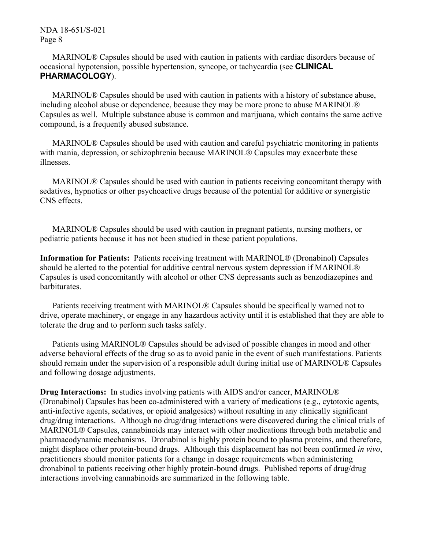MARINOL® Capsules should be used with caution in patients with cardiac disorders because of occasional hypotension, possible hypertension, syncope, or tachycardia (see **CLINICAL PHARMACOLOGY**).

 MARINOL® Capsules should be used with caution in patients with a history of substance abuse, including alcohol abuse or dependence, because they may be more prone to abuse MARINOL® Capsules as well. Multiple substance abuse is common and marijuana, which contains the same active compound, is a frequently abused substance.

 MARINOL® Capsules should be used with caution and careful psychiatric monitoring in patients with mania, depression, or schizophrenia because MARINOL® Capsules may exacerbate these illnesses.

 MARINOL® Capsules should be used with caution in patients receiving concomitant therapy with sedatives, hypnotics or other psychoactive drugs because of the potential for additive or synergistic CNS effects.

 MARINOL® Capsules should be used with caution in pregnant patients, nursing mothers, or pediatric patients because it has not been studied in these patient populations.

**Information for Patients:** Patients receiving treatment with MARINOL® (Dronabinol) Capsules should be alerted to the potential for additive central nervous system depression if MARINOL® Capsules is used concomitantly with alcohol or other CNS depressants such as benzodiazepines and barbiturates.

 Patients receiving treatment with MARINOL® Capsules should be specifically warned not to drive, operate machinery, or engage in any hazardous activity until it is established that they are able to tolerate the drug and to perform such tasks safely.

 Patients using MARINOL® Capsules should be advised of possible changes in mood and other adverse behavioral effects of the drug so as to avoid panic in the event of such manifestations. Patients should remain under the supervision of a responsible adult during initial use of MARINOL® Capsules and following dosage adjustments.

**Drug Interactions:** In studies involving patients with AIDS and/or cancer, MARINOL® (Dronabinol) Capsules has been co-administered with a variety of medications (e.g., cytotoxic agents, anti-infective agents, sedatives, or opioid analgesics) without resulting in any clinically significant drug/drug interactions. Although no drug/drug interactions were discovered during the clinical trials of MARINOL® Capsules, cannabinoids may interact with other medications through both metabolic and pharmacodynamic mechanisms. Dronabinol is highly protein bound to plasma proteins, and therefore, might displace other protein-bound drugs. Although this displacement has not been confirmed *in vivo*, practitioners should monitor patients for a change in dosage requirements when administering dronabinol to patients receiving other highly protein-bound drugs. Published reports of drug/drug interactions involving cannabinoids are summarized in the following table.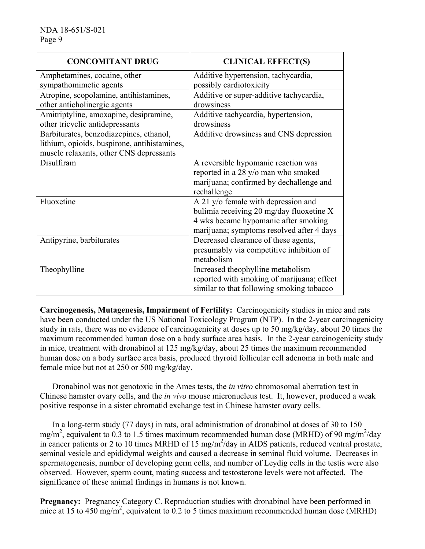| <b>CONCOMITANT DRUG</b>                      | <b>CLINICAL EFFECT(S)</b>                  |  |  |  |
|----------------------------------------------|--------------------------------------------|--|--|--|
| Amphetamines, cocaine, other                 | Additive hypertension, tachycardia,        |  |  |  |
| sympathomimetic agents                       | possibly cardiotoxicity                    |  |  |  |
| Atropine, scopolamine, antihistamines,       | Additive or super-additive tachycardia,    |  |  |  |
| other anticholinergic agents                 | drowsiness                                 |  |  |  |
| Amitriptyline, amoxapine, desipramine,       | Additive tachycardia, hypertension,        |  |  |  |
| other tricyclic antidepressants              | drowsiness                                 |  |  |  |
| Barbiturates, benzodiazepines, ethanol,      | Additive drowsiness and CNS depression     |  |  |  |
| lithium, opioids, buspirone, antihistamines, |                                            |  |  |  |
| muscle relaxants, other CNS depressants      |                                            |  |  |  |
| Disulfiram                                   | A reversible hypomanic reaction was        |  |  |  |
|                                              | reported in a 28 y/o man who smoked        |  |  |  |
|                                              | marijuana; confirmed by dechallenge and    |  |  |  |
|                                              | rechallenge                                |  |  |  |
| Fluoxetine                                   | A 21 y/o female with depression and        |  |  |  |
|                                              | bulimia receiving 20 mg/day fluoxetine X   |  |  |  |
|                                              | 4 wks became hypomanic after smoking       |  |  |  |
|                                              | marijuana; symptoms resolved after 4 days  |  |  |  |
| Antipyrine, barbiturates                     | Decreased clearance of these agents,       |  |  |  |
|                                              | presumably via competitive inhibition of   |  |  |  |
|                                              | metabolism                                 |  |  |  |
| Theophylline                                 | Increased theophylline metabolism          |  |  |  |
|                                              | reported with smoking of marijuana; effect |  |  |  |
|                                              | similar to that following smoking tobacco  |  |  |  |

**Carcinogenesis, Mutagenesis, Impairment of Fertility:** Carcinogenicity studies in mice and rats have been conducted under the US National Toxicology Program (NTP). In the 2-year carcinogenicity study in rats, there was no evidence of carcinogenicity at doses up to 50 mg/kg/day, about 20 times the maximum recommended human dose on a body surface area basis. In the 2-year carcinogenicity study in mice, treatment with dronabinol at 125 mg/kg/day, about 25 times the maximum recommended human dose on a body surface area basis, produced thyroid follicular cell adenoma in both male and female mice but not at 250 or 500 mg/kg/day.

 Dronabinol was not genotoxic in the Ames tests, the *in vitro* chromosomal aberration test in Chinese hamster ovary cells, and the *in vivo* mouse micronucleus test. It, however, produced a weak positive response in a sister chromatid exchange test in Chinese hamster ovary cells.

 In a long-term study (77 days) in rats, oral administration of dronabinol at doses of 30 to 150 mg/m<sup>2</sup>, equivalent to 0.3 to 1.5 times maximum recommended human dose (MRHD) of 90 mg/m<sup>2</sup>/day in cancer patients or 2 to 10 times MRHD of 15 mg/m<sup>2</sup>/day in AIDS patients, reduced ventral prostate, seminal vesicle and epididymal weights and caused a decrease in seminal fluid volume. Decreases in spermatogenesis, number of developing germ cells, and number of Leydig cells in the testis were also observed. However, sperm count, mating success and testosterone levels were not affected. The significance of these animal findings in humans is not known.

**Pregnancy:** Pregnancy Category C. Reproduction studies with dronabinol have been performed in mice at 15 to 450 mg/m<sup>2</sup>, equivalent to 0.2 to 5 times maximum recommended human dose (MRHD)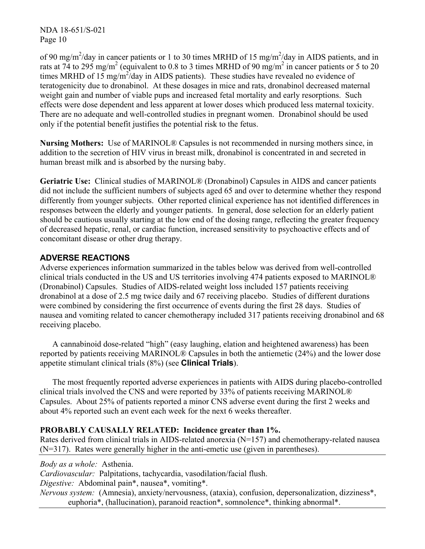of 90 mg/m<sup>2</sup>/day in cancer patients or 1 to 30 times MRHD of 15 mg/m<sup>2</sup>/day in AIDS patients, and in rats at 74 to 295 mg/m<sup>2</sup> (equivalent to 0.8 to 3 times MRHD of 90 mg/m<sup>2</sup> in cancer patients or 5 to 20 times MRHD of  $15 \text{ mg/m}^2$ /day in AIDS patients). These studies have revealed no evidence of teratogenicity due to dronabinol. At these dosages in mice and rats, dronabinol decreased maternal weight gain and number of viable pups and increased fetal mortality and early resorptions. Such effects were dose dependent and less apparent at lower doses which produced less maternal toxicity. There are no adequate and well-controlled studies in pregnant women. Dronabinol should be used only if the potential benefit justifies the potential risk to the fetus.

**Nursing Mothers:** Use of MARINOL® Capsules is not recommended in nursing mothers since, in addition to the secretion of HIV virus in breast milk, dronabinol is concentrated in and secreted in human breast milk and is absorbed by the nursing baby.

**Geriatric Use:** Clinical studies of MARINOL® (Dronabinol) Capsules in AIDS and cancer patients did not include the sufficient numbers of subjects aged 65 and over to determine whether they respond differently from younger subjects. Other reported clinical experience has not identified differences in responses between the elderly and younger patients. In general, dose selection for an elderly patient should be cautious usually starting at the low end of the dosing range, reflecting the greater frequency of decreased hepatic, renal, or cardiac function, increased sensitivity to psychoactive effects and of concomitant disease or other drug therapy.

## **ADVERSE REACTIONS**

Adverse experiences information summarized in the tables below was derived from well-controlled clinical trials conducted in the US and US territories involving 474 patients exposed to MARINOL® (Dronabinol) Capsules. Studies of AIDS-related weight loss included 157 patients receiving dronabinol at a dose of 2.5 mg twice daily and 67 receiving placebo. Studies of different durations were combined by considering the first occurrence of events during the first 28 days. Studies of nausea and vomiting related to cancer chemotherapy included 317 patients receiving dronabinol and 68 receiving placebo.

A cannabinoid dose-related "high" (easy laughing, elation and heightened awareness) has been reported by patients receiving MARINOL® Capsules in both the antiemetic (24%) and the lower dose appetite stimulant clinical trials (8%) (see **Clinical Trials**).

The most frequently reported adverse experiences in patients with AIDS during placebo-controlled clinical trials involved the CNS and were reported by 33% of patients receiving MARINOL® Capsules. About 25% of patients reported a minor CNS adverse event during the first 2 weeks and about 4% reported such an event each week for the next 6 weeks thereafter.

## **PROBABLY CAUSALLY RELATED: Incidence greater than 1%.**

Rates derived from clinical trials in AIDS-related anorexia (N=157) and chemotherapy-related nausea (N=317). Rates were generally higher in the anti-emetic use (given in parentheses).

*Body as a whole:* Asthenia.

*Cardiovascular:* Palpitations, tachycardia, vasodilation/facial flush.

*Digestive:* Abdominal pain\*, nausea\*, vomiting\*.

*Nervous system:* (Amnesia), anxiety/nervousness, (ataxia), confusion, depersonalization, dizziness\*, euphoria\*, (hallucination), paranoid reaction\*, somnolence\*, thinking abnormal\*.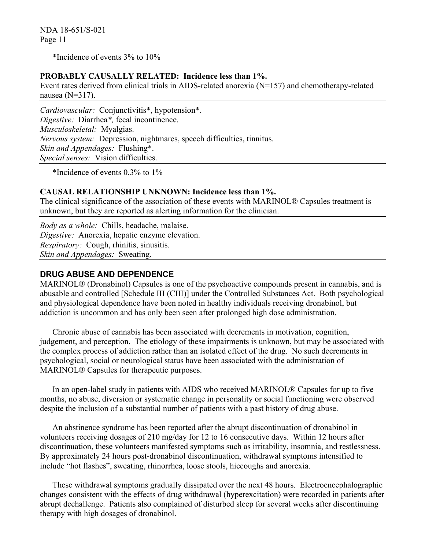\*Incidence of events 3% to 10%

#### **PROBABLY CAUSALLY RELATED: Incidence less than 1%.**

Event rates derived from clinical trials in AIDS-related anorexia (N=157) and chemotherapy-related nausea (N=317).

*Cardiovascular:* Conjunctivitis\*, hypotension\*. *Digestive:* Diarrhea*\*,* fecal incontinence. *Musculoskeletal:* Myalgias. *Nervous system:* Depression, nightmares, speech difficulties, tinnitus. *Skin and Appendages:* Flushing\*. *Special senses:* Vision difficulties.

\*Incidence of events 0.3% to 1%

#### **CAUSAL RELATIONSHIP UNKNOWN: Incidence less than 1%.**

The clinical significance of the association of these events with MARINOL® Capsules treatment is unknown, but they are reported as alerting information for the clinician.

*Body as a whole:* Chills, headache, malaise. *Digestive:* Anorexia, hepatic enzyme elevation. *Respiratory:* Cough, rhinitis, sinusitis. *Skin and Appendages:* Sweating.

## **DRUG ABUSE AND DEPENDENCE**

MARINOL® (Dronabinol) Capsules is one of the psychoactive compounds present in cannabis, and is abusable and controlled [Schedule III (CIII)] under the Controlled Substances Act. Both psychological and physiological dependence have been noted in healthy individuals receiving dronabinol, but addiction is uncommon and has only been seen after prolonged high dose administration.

Chronic abuse of cannabis has been associated with decrements in motivation, cognition, judgement, and perception. The etiology of these impairments is unknown, but may be associated with the complex process of addiction rather than an isolated effect of the drug. No such decrements in psychological, social or neurological status have been associated with the administration of MARINOL® Capsules for therapeutic purposes.

In an open-label study in patients with AIDS who received MARINOL® Capsules for up to five months, no abuse, diversion or systematic change in personality or social functioning were observed despite the inclusion of a substantial number of patients with a past history of drug abuse.

An abstinence syndrome has been reported after the abrupt discontinuation of dronabinol in volunteers receiving dosages of 210 mg/day for 12 to 16 consecutive days. Within 12 hours after discontinuation, these volunteers manifested symptoms such as irritability, insomnia, and restlessness. By approximately 24 hours post-dronabinol discontinuation, withdrawal symptoms intensified to include "hot flashes", sweating, rhinorrhea, loose stools, hiccoughs and anorexia.

These withdrawal symptoms gradually dissipated over the next 48 hours. Electroencephalographic changes consistent with the effects of drug withdrawal (hyperexcitation) were recorded in patients after abrupt dechallenge. Patients also complained of disturbed sleep for several weeks after discontinuing therapy with high dosages of dronabinol.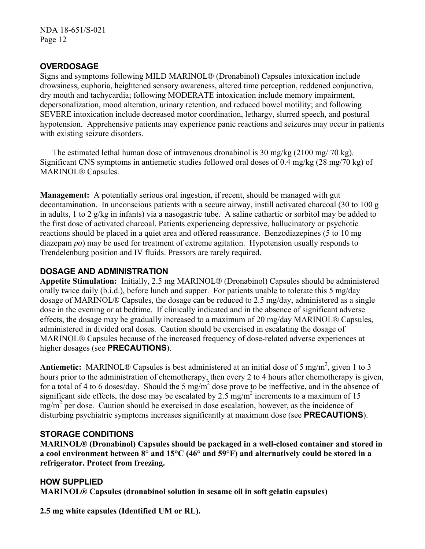# **OVERDOSAGE**

Signs and symptoms following MILD MARINOL® (Dronabinol) Capsules intoxication include drowsiness, euphoria, heightened sensory awareness, altered time perception, reddened conjunctiva, dry mouth and tachycardia; following MODERATE intoxication include memory impairment, depersonalization, mood alteration, urinary retention, and reduced bowel motility; and following SEVERE intoxication include decreased motor coordination, lethargy, slurred speech, and postural hypotension. Apprehensive patients may experience panic reactions and seizures may occur in patients with existing seizure disorders.

The estimated lethal human dose of intravenous dronabinol is 30 mg/kg (2100 mg/ 70 kg). Significant CNS symptoms in antiemetic studies followed oral doses of 0.4 mg/kg (28 mg/70 kg) of MARINOL® Capsules.

**Management:** A potentially serious oral ingestion, if recent, should be managed with gut decontamination. In unconscious patients with a secure airway, instill activated charcoal (30 to 100 g in adults, 1 to 2 g/kg in infants) via a nasogastric tube. A saline cathartic or sorbitol may be added to the first dose of activated charcoal. Patients experiencing depressive, hallucinatory or psychotic reactions should be placed in a quiet area and offered reassurance. Benzodiazepines (5 to 10 mg diazepam *po*) may be used for treatment of extreme agitation. Hypotension usually responds to Trendelenburg position and IV fluids. Pressors are rarely required.

# **DOSAGE AND ADMINISTRATION**

**Appetite Stimulation:** Initially, 2.5 mg MARINOL® (Dronabinol) Capsules should be administered orally twice daily (b.i.d.), before lunch and supper. For patients unable to tolerate this 5 mg/day dosage of MARINOL® Capsules, the dosage can be reduced to 2.5 mg/day, administered as a single dose in the evening or at bedtime. If clinically indicated and in the absence of significant adverse effects, the dosage may be gradually increased to a maximum of 20 mg/day MARINOL® Capsules, administered in divided oral doses. Caution should be exercised in escalating the dosage of MARINOL® Capsules because of the increased frequency of dose-related adverse experiences at higher dosages (see **PRECAUTIONS**).

**Antiemetic:** MARINOL® Capsules is best administered at an initial dose of 5 mg/m<sup>2</sup>, given 1 to 3 hours prior to the administration of chemotherapy, then every 2 to 4 hours after chemotherapy is given, for a total of 4 to 6 doses/day. Should the 5 mg/m<sup>2</sup> dose prove to be ineffective, and in the absence of significant side effects, the dose may be escalated by  $2.5 \text{ mg/m}^2$  increments to a maximum of 15  $mg/m<sup>2</sup>$  per dose. Caution should be exercised in dose escalation, however, as the incidence of disturbing psychiatric symptoms increases significantly at maximum dose (see **PRECAUTIONS**).

# **STORAGE CONDITIONS**

**MARINOL® (Dronabinol) Capsules should be packaged in a well-closed container and stored in a cool environment between 8° and 15°C (46° and 59°F) and alternatively could be stored in a refrigerator. Protect from freezing.** 

# **HOW SUPPLIED**

**MARINOL® Capsules (dronabinol solution in sesame oil in soft gelatin capsules)** 

**2.5 mg white capsules (Identified UM or RL).**